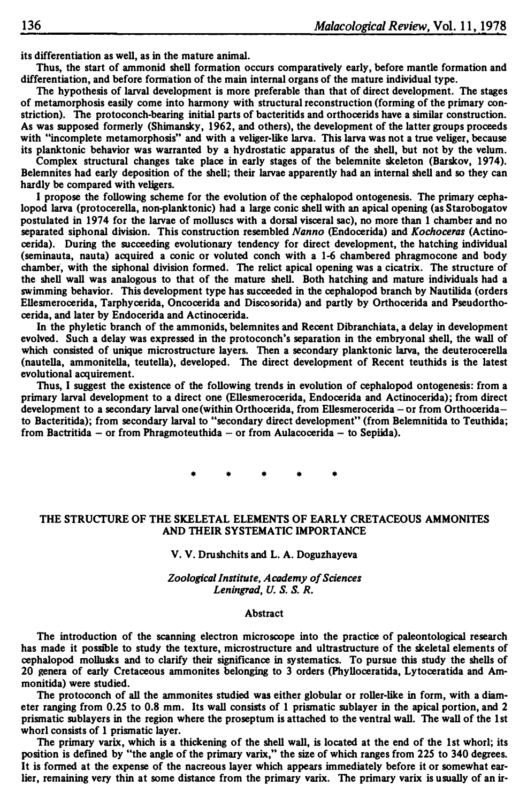**its differentiation as well, as in the mature animal.** 

**Thus, the start of ammonid shell formation occurs comparatively early, before mantle formation and differentiation, and before fomiation of the main internal organs of the mature individual type.** 

**The hypothesis of larval development is more preferable than that of direct development. The stages of metamorphosis easily come into harmony with structural reconstruction (forming of the primary constriction). The protoconch-bearing initial parts of bacteritids and orthocerids have a similar construction. As was supposed formerly (Shimansky, 1962, and others), the development of the latter groups proceeds**  with "incomplete metamorphosis" and with a veliger-like larva. This larva was not a true veliger, because **its planktonic behavior was warranted by a hydrostatic apparatus of the shell, but not by the velum.** 

**Complex structural changes take place in early stages of the belemnite skeleton (Barskov, 1974). Belemnites had early deposition of the shell; their larvae apparently had an internal shell and so they can hardly be compared with veligers.** 

**I propose the following scheme for the evolution of the cephalopod ontogenesis. The primary cephalopod larva (protocerella, non-planktonic) had a large conic shell with an apical opening (as Starobogatov postulated in 1974 for the larvae of molluscs with a dorsal visceral sac), no more than 1 chamber and no separated siphonal division. This construction resembled** *Nanno* **(Endocerida) and** *Kochoceras* **(Actinocerida). During the succeeding evolutionary tendency for direct development, the hatching individual (seminauta, nauta) acquired a conic or voluted conch with a 1-6 chambered phragmocone and body chamber', with the siphonal division formed. The relict apical opening was a cicatrix. The structure of the shell wall was analogous to that of the mature shell. Both hatching and mature individuals had a swimming behavior. This development type has succeeded in the cephalopod branch by Nautilida (orders Ellesmerocerida, Tarphycerida, Oncocerida and Discosorida) and partly by Orthocerida and Pseudorthocerida, and later by Endocerida and Actinocerida.** 

**In the phyletic branch of the ammonids, belemnites and Recent Dibranchiata, a delay in development evolved. Such a delay was expressed in the protoconch's separation in the embryonal shell, the wall of which consisted of unique microstructure layers. Then a secondary planktonic larva, the deuterocerella (nautella, ammonitella, teutella), developed. The direct development of Recent teuthids is the latest evolutional acquirement.** 

**Thus, I suggest the existence of the following trends in evolution of cephalopod ontogenesis: from a primary larval development to a direct one (Ellesmerocerida, Endocerida and Actinocerida); from direct development to a secondary larval one(within Orthocerida, from Ellesmerocerida - or from Orthoceridato Bacteritida); from secondary larval to "secondary direct development" (from Belemnitida to Teuthida; from Bactritida - or from Phragmoteuthida - or from Aulacocerida - to Sepi.ida) •** 

• • • • •

# **THE STRUCTURE OF THE SKELETAL ELEMENTS OF EARLY CRETACEOUS AMMONITES AND THEIR SYSTEMATIC IMPORTANCE**

### **V. V. Drushchits and L. A. Doguzhayeva**

*Zoological Institute, Academy of Sciences Leningrad,U.S.S.R.* 

### **Abstract**

**The introduction of the scanning electron microscope into the practice of paleontological research**  has made it possible to study the texture, microstructure and ultrastructure of the skeletal elements of **cephalopod molluslcs and to clarify their significance in systematics. To pursue this study the shells of 20 genera of early Cretaceous ammonites belonging to 3 orders (Phylloceratida, Lytoceratida and Ammonitida) were studied.** 

**The protoconch of all the ammonites studied was either globular or roller-like in form, with a diameter ranging from 0.25 to 0.8 mm. Its wall consists of 1 prismatic sublayer in the apical portion, and 2 prismatic sublayers in the region where the proseptum is attached to the ventral wall. The wall of the 1st whorl consists of 1 prismatic layer.** 

The primary varix, which is a thickening of the shell wall, is located at the end of the 1st whorl; its **position is defined by "the angle of the primary varix," the size of which ranges from 225 to 340 degrees. It is formed at the expense of the nacreous layer which appears immediately before it or somewhat earlier, remaining very thin at some distance from the primary varix. The primary varix is usually of an ir-**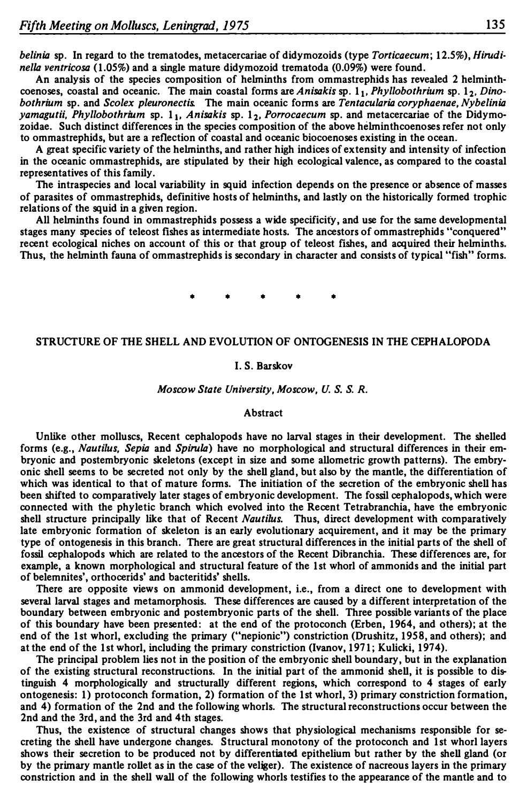*belinia* **sp. In regard to the trematodes, metacercariae of didymozoids (type** *Torticaecum;* **12.5%),** *Hirudinella ventricosa* **(1.05%) and a single mature didymozoid trematoda (0.09%) were found.** 

**An analysis of the species composition of helrninths from ommastrephids has revealed 2 helminth**coenoses, coastal and oceanic. The main coastal forms are *Anisakis* sp.  $1_1$ , *Phyllobothrium* sp.  $1_2$ , *Dinobothrium* **sp. and** *Scolex pleuronectis.* **The main oceanic forms are** *Tentacularia coryphaenae, Nybelinia yamagutii, Phyllobothrium* **sp. 11,** *Anisakis* **sp. 12,** *Porrocaecum* **sp. and metacercariae of the Didymozoidae. Such distinct differences in the species composition of the above helrninthcoenoses refer not only to ommastrephids, but are a reflection of coastal and oceanic biocoenoses existing in the ocean.** 

**A great specific variety of the helrninths, and rather high indices of extensity and intensity of infection in the oceanic ommastrephids, are stipulated by their high ecological valence, as compared to the coastal representatives of this family.** 

**The intraspecies and local variability in squid infection depends on the presence or absence of masses of parasites of ommastrephids, definitive hosts of helrninths, and lastly on the historically formed trophic relations of the squid in a given region.** 

**All helrninths found in ommastrephids possess a wide specificify, and use for the same developmental stages many species of teleost fishes as intermediate hosts. The ancestors of ommastrephids "conquered" recent ecological niches on account of this or that group of teleost fishes, and acquired their helrninths. Thus, the helrninth fauna of ommastrephids is secondary in character and consists of typical "fish" forms .** 

• • • • •

# **STRUCTURE OF THE SHELL AND EVOLUTION OF ONTOGENESIS IN THE CEPHALOPODA**

#### **I. S. Barskov**

### *Moscow State University, Moscow, U.S. S. R.*

### **Abstract**

**Unlike other molluscs, Recent cephalopods have no larval stages in their development. The shelled forms (e.g.,** *Nautilus, Sepia* **and** *Spirula)* **have no morphological and structural differences in their embryonic and postembryonic skeletons (except in size and some allometric growth patterns). The embryonic shell seems to be secreted not only by the shell gland, but also by the mantle, the differentiation of which was identical to that of mature forms. The initiation of the secretion of the embryonic shell has been shifted to comparatively later stages of embryonic development. The fossil cephalopods, which were connected with the phyletic branch which evolved into the Recent Tetrabranchia, have the embryonic shell structure principally like that of Recent** *Nautilus.* **Thus, direct development with comparatively late embryonic formation of skeleton is an early evolutionary acquirement, and it may be the primary type of ontogenesis in this branch. There are great structural differences in the initial parts of the shell of fossil cephalopods which are related to the ancestors of the Recent Dibranchia. These differences are, for example, a known morphological and structural feature of the 1st whorl of ammonids and the initial part of belemnites', orthocerids' and bacteritids' shells.** 

**There are opposite views on ammonid development, i.e., from a direct one to development with several larval stages and metamorphosis. These differences are caused by a different interpretation of the boundary between embryonic and postembryonic parts of the shell. Three possible variants of the place of this boundary have been presented: at the end of the protoconch (Erben, 1964, and others); at the end of the 1st whorl, excluding the primary ("nepionic") constriction (Drushitz, 1958, and others); and atthe end of the 1st whorl, including the primary constriction (Ivanov, 1971; Kulicki, 1974).** 

**The principal problem lies not in the position of the embryonic shell boundary, but in the explanation of the existing structural reconstructions. In the initial part of the ammonid shell, it is possible to distinguish 4 morphologically and structurally different regions, which correspond to 4 stages of early ontogenesis: 1) protoconch formation, 2) formation of the 1st whorl, 3) primary constriction formation, and 4) formation of the 2nd and the following whorls. The structural reconstructions occur between the 2nd and the 3rd, and the 3rd and 4th stages.** 

**Thus, the existence of structural changes shows that physiological mechanisms responsible for secreting the shell have undergone changes. Structural monotony of the protoconch and 1 st whorl layers shows their secretion to be produced not by differentiated epithelium but rather by the shell gland (or by the primary mantle rollet as in the case of the veljger). The existence of nacreous layers in the primary constriction and in the shell wall of the following whorls testifies to the appearance of the mantle and to**